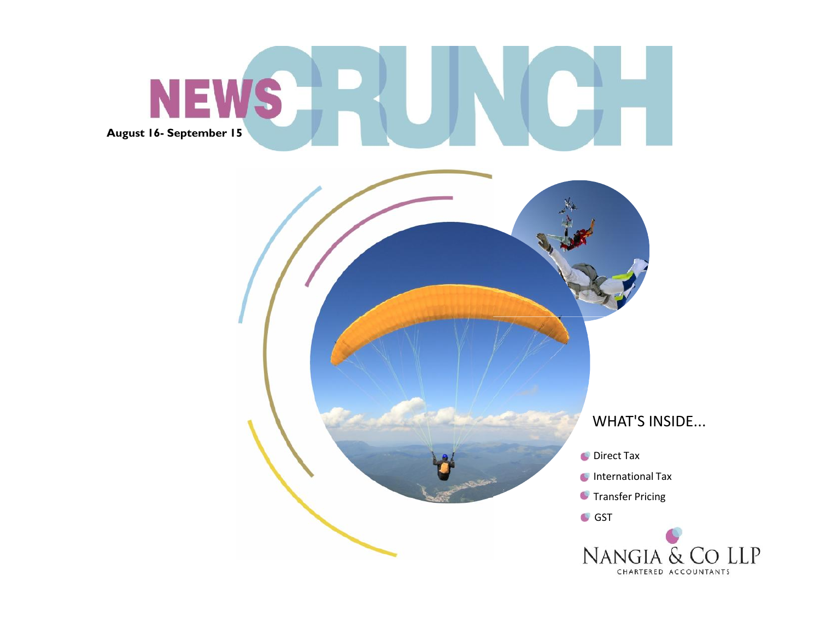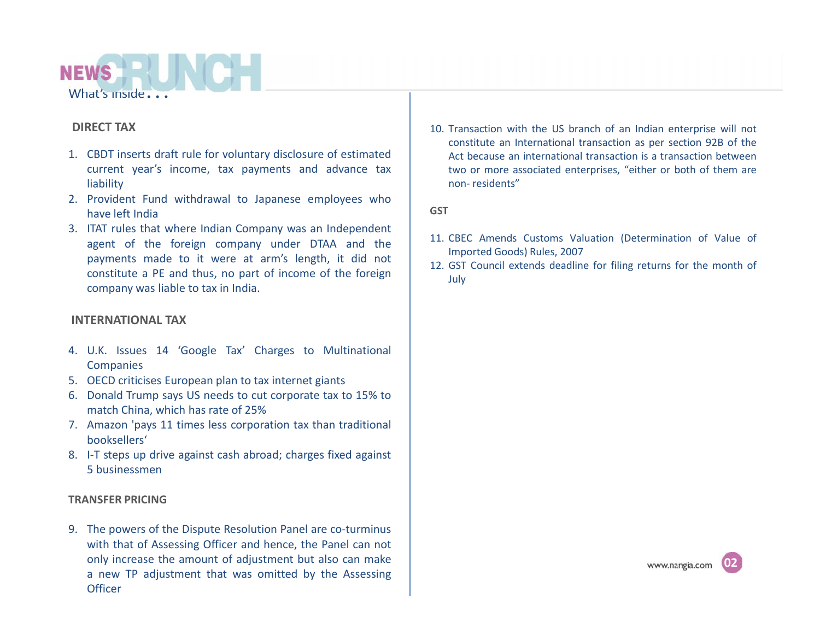

### **DIRECT TAX**

- 1. CBDT inserts draft rule for voluntary disclosure of estimated current year's income, tax payments and advance tax liability
- 2. Provident Fund withdrawal to Japanese employees who have left India
- 3. ITAT rules that where Indian Company was an Independent agent of the foreign company under DTAA and the payments made to it were at arm's length, it did not constitute a PE and thus, no part of income of the foreign company was liable to tax in India.

### **INTERNATIONAL TAX**

- 4. U.K. Issues 14 'Google Tax' Charges to Multinational **Companies**
- 5. OECD criticises European plan to tax internet giants
- 6. Donald Trump says US needs to cut corporate tax to 15% to match China, which has rate of 25%
- 7. Amazon 'pays 11 times less corporation tax than traditional booksellers'
- 8. I-T steps up drive against cash abroad; charges fixed against 5 businessmen

#### **TRANSFER PRICING**

9. The powers of the Dispute Resolution Panel are co-turminus with that of Assessing Officer and hence, the Panel can not only increase the amount of adjustment but also can make a new TP adjustment that was omitted by the Assessing **Officer** 

10. Transaction with the US branch of an Indian enterprise will not constitute an International transaction as per section 92B of the Act because an international transaction is a transaction between two or more associated enterprises, "either or both of them are non- residents"

**GST**

- 11. CBEC Amends Customs Valuation (Determination of Value of Imported Goods) Rules, 2007
- 12. GST Council extends deadline for filing returns for the month of July

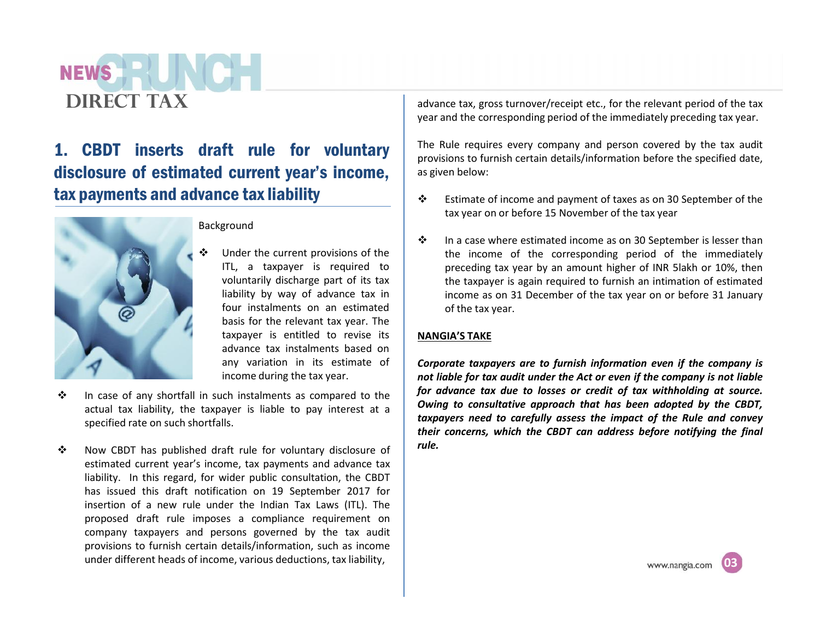## **NEWS DIRECT TAX**

## 1. CBDT inserts draft rule for voluntary disclosure of estimated current year's income, tax payments and advance tax liability



### Background

- Under the current provisions of the ITL, a taxpayer is required to voluntarily discharge part of its tax liability by way of advance tax in four instalments on an estimated basis for the relevant tax year. The taxpayer is entitled to revise its advance tax instalments based on any variation in its estimate of income during the tax year.
- $\cdot \cdot$  In case of any shortfall in such instalments as compared to the actual tax liability, the taxpayer is liable to pay interest at a specified rate on such shortfalls.
- \* Now CBDT has published draft rule for voluntary disclosure of estimated current year's income, tax payments and advance tax liability. In this regard, for wider public consultation, the CBDT has issued this draft notification on 19 September 2017 for insertion of a new rule under the Indian Tax Laws (ITL). The proposed draft rule imposes a compliance requirement on company taxpayers and persons governed by the tax audit provisions to furnish certain details/information, such as income under different heads of income, various deductions, tax liability,

advance tax, gross turnover/receipt etc., for the relevant period of the tax year and the corresponding period of the immediately preceding tax year.

The Rule requires every company and person covered by the tax audit provisions to furnish certain details/information before the specified date, as given below:

- $\cdot \cdot$  Estimate of income and payment of taxes as on 30 September of the tax year on or before 15 November of the tax year
- $\cdot \cdot$  In a case where estimated income as on 30 September is lesser than the income of the corresponding period of the immediately preceding tax year by an amount higher of INR 5lakh or 10%, then the taxpayer is again required to furnish an intimation of estimated income as on 31 December of the tax year on or before 31 January of the tax year.

### **NANGIA'S TAKE**

*Corporate taxpayers are to furnish information even if the company is not liable for tax audit under the Act or even if the company is not liable for advance tax due to losses or credit of tax withholding at source. Owing to consultative approach that has been adopted by the CBDT, taxpayers need to carefully assess the impact of the Rule and convey their concerns, which the CBDT can address before notifying the final rule.*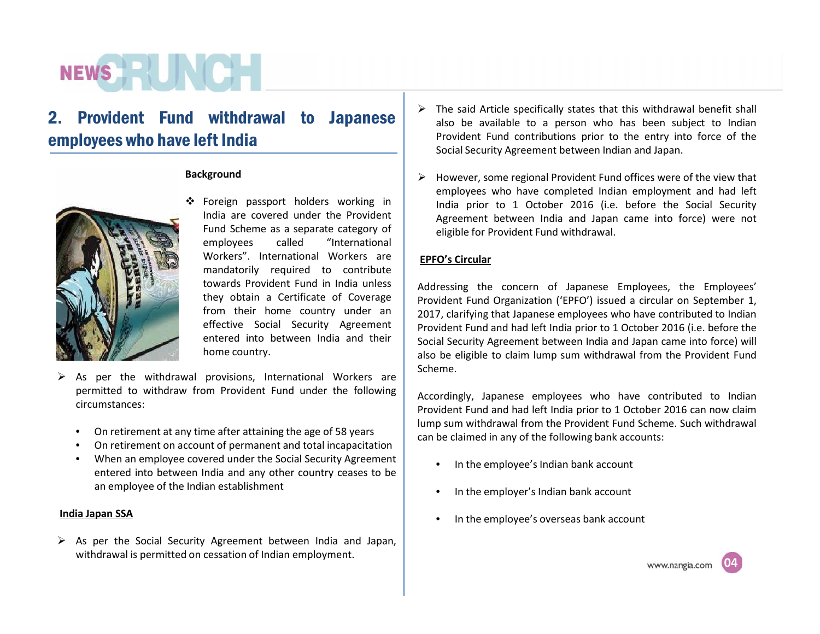# **NEWS HEALTH**

## 2. Provident Fund withdrawal to Japanese employees who have left India

#### **Background**



- Foreign passport holders working in India are covered under the Provident Fund Scheme as a separate category of employees called "International Workers". International Workers are mandatorily required to contribute towards Provident Fund in India unless they obtain a Certificate of Coverage from their home country under an effective Social Security Agreement entered into between India and their home country.
- $\triangleright$  As per the withdrawal provisions, International Workers are permitted to withdraw from Provident Fund under the following circumstances:
	- On retirement at any time after attaining the age of 58 years
	- On retirement on account of permanent and total incapacitation
	- When an employee covered under the Social Security Agreement entered into between India and any other country ceases to be an employee of the Indian establishment

#### **India Japan SSA**

 $\triangleright$  As per the Social Security Agreement between India and Japan, withdrawal is permitted on cessation of Indian employment.

- $\triangleright$  The said Article specifically states that this withdrawal benefit shall also be available to a person who has been subject to Indian Provident Fund contributions prior to the entry into force of the Social Security Agreement between Indian and Japan.
- $\triangleright$  However, some regional Provident Fund offices were of the view that employees who have completed Indian employment and had left India prior to 1 October 2016 (i.e. before the Social Security Agreement between India and Japan came into force) were not eligible for Provident Fund withdrawal.

### **EPFO's Circular**

Addressing the concern of Japanese Employees, the Employees' Provident Fund Organization ('EPFO') issued a circular on September 1, 2017, clarifying that Japanese employees who have contributed to Indian Provident Fund and had left India prior to 1 October 2016 (i.e. before the Social Security Agreement between India and Japan came into force) will also be eligible to claim lump sum withdrawal from the Provident Fund Scheme.

Accordingly, Japanese employees who have contributed to Indian Provident Fund and had left India prior to 1 October 2016 can now claim lump sum withdrawal from the Provident Fund Scheme. Such withdrawal can be claimed in any of the following bank accounts:

- In the employee's Indian bank account
- In the employer's Indian bank account
- In the employee's overseas bank account

**04**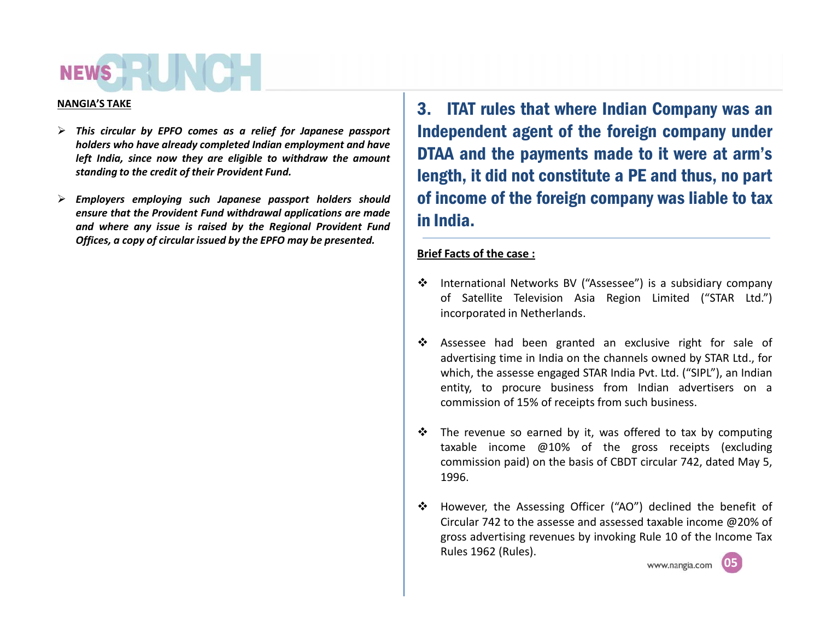#### **NANGIA'S TAKE**

- *This circular by EPFO comes as a relief for Japanese passport holders who have already completed Indian employment and have left India, since now they are eligible to withdraw the amount standing to the credit of their Provident Fund.*
- *Employers employing such Japanese passport holders should ensure that the Provident Fund withdrawal applications are made and where any issue is raised by the Regional Provident Fund Offices, a copy of circular issued by the EPFO may be presented.*

3. ITAT rules that where Indian Company was an Independent agent of the foreign company under DTAA and the payments made to it were at arm's length, it did not constitute a PE and thus, no part of income of the foreign company was liable to tax in India.

### **Brief Facts of the case :**

- International Networks BV ("Assessee") is a subsidiary company of Satellite Television Asia Region Limited ("STAR Ltd.") incorporated in Netherlands.
- Assessee had been granted an exclusive right for sale of advertising time in India on the channels owned by STAR Ltd., for which, the assesse engaged STAR India Pvt. Ltd. ("SIPL"), an Indian entity, to procure business from Indian advertisers on a commission of 15% of receipts from such business.
- $\cdot \cdot$  The revenue so earned by it, was offered to tax by computing taxable income @10% of the gross receipts (excluding commission paid) on the basis of CBDT circular 742, dated May 5, 1996.
- However, the Assessing Officer ("AO") declined the benefit of Circular 742 to the assesse and assessed taxable income @20% of gross advertising revenues by invoking Rule 10 of the Income Tax Rules 1962 (Rules).<br>
www.nangia.com

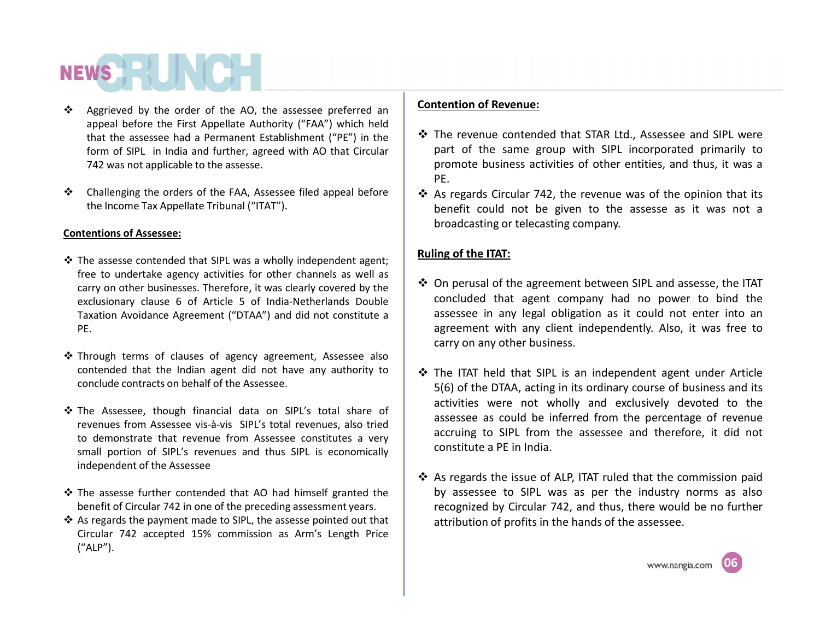# **NEWS HE**

- ❖ Aggrieved by the order of the AO, the assessee preferred an appeal before the First Appellate Authority ("FAA") which held that the assessee had a Permanent Establishment ("PE") in the form of SIPL in India and further, agreed with AO that Circular 742 was not applicable to the assesse.
- Challenging the orders of the FAA, Assessee filed appeal before the Income Tax Appellate Tribunal ("ITAT").

### **Contentions of Assessee:**

- $\cdot$  The assesse contended that SIPL was a wholly independent agent; free to undertake agency activities for other channels as well as carry on other businesses. Therefore, it was clearly covered by the exclusionary clause 6 of Article 5 of India-Netherlands Double Taxation Avoidance Agreement ("DTAA") and did not constitute a PE.
- Through terms of clauses of agency agreement, Assessee also contended that the Indian agent did not have any authority to conclude contracts on behalf of the Assessee.
- \* The Assessee, though financial data on SIPL's total share of revenues from Assessee vis-à-vis SIPL's total revenues, also tried to demonstrate that revenue from Assessee constitutes a very small portion of SIPL's revenues and thus SIPL is economically independent of the Assessee
- The assesse further contended that AO had himself granted the benefit of Circular 742 in one of the preceding assessment years.
- $\cdot$  As regards the payment made to SIPL, the assesse pointed out that Circular 742 accepted 15% commission as Arm's Length Price ("ALP").

### **Contention of Revenue:**

- The revenue contended that STAR Ltd., Assessee and SIPL were part of the same group with SIPL incorporated primarily to promote business activities of other entities, and thus, it was a PE.
- $\cdot$  As regards Circular 742, the revenue was of the opinion that its benefit could not be given to the assesse as it was not a broadcasting or telecasting company.

### **Ruling of the ITAT:**

- On perusal of the agreement between SIPL and assesse, the ITAT concluded that agent company had no power to bind the assessee in any legal obligation as it could not enter into an agreement with any client independently. Also, it was free to carry on any other business.
- The ITAT held that SIPL is an independent agent under Article 5(6) of the DTAA, acting in its ordinary course of business and its activities were not wholly and exclusively devoted to the assessee as could be inferred from the percentage of revenue accruing to SIPL from the assessee and therefore, it did not constitute a PE in India.
- As regards the issue of ALP, ITAT ruled that the commission paid by assessee to SIPL was as per the industry norms as also recognized by Circular 742, and thus, there would be no further attribution of profits in the hands of the assessee.

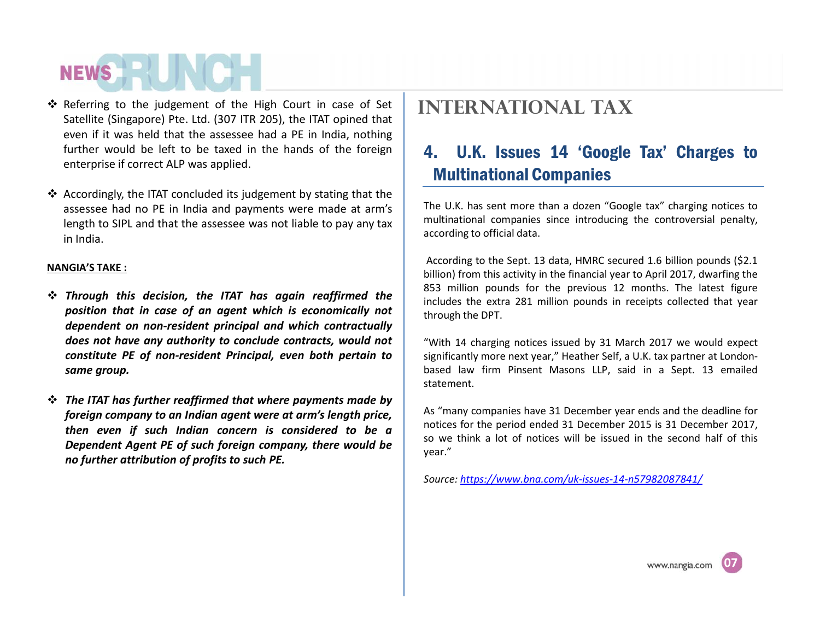- Referring to the judgement of the High Court in case of Set Satellite (Singapore) Pte. Ltd. (307 ITR 205), the ITAT opined that even if it was held that the assessee had a PE in India, nothing further would be left to be taxed in the hands of the foreign  $\begin{bmatrix} 4 \end{bmatrix}$ enterprise if correct ALP was applied.
- Accordingly, the ITAT concluded its judgement by stating that the assessee had no PE in India and payments were made at arm's length to SIPL and that the assessee was not liable to pay any tax in India.

### **NANGIA'S TAKE :**

- *Through this decision, the ITAT has again reaffirmed the position that in case ofan agent which is economically not dependent on non-resident principal and which contractually does not have any authority to conclude contracts, would not constitute PE ofnon-resident Principal, even both pertain to same group.*
- *The ITAT has further reaffirmed that where payments made by foreign company to an Indian agent were at arm's length price, then even if such Indian concern is considered to be a Dependent Agent PE of such foreign company, there would be no further attribution of profits to such PE.*

## **International tax**

## 4. U.K. Issues 14 'Google Tax' Charges to Multinational Companies

The U.K. has sent more than a dozen "Google tax" charging notices to multinational companies since introducing the controversial penalty, according to official data.

According to the Sept. 13 data, HMRC secured 1.6 billion pounds (\$2.1 billion) from this activity in the financial year to April 2017, dwarfing the 853 million pounds for the previous 12 months. The latest figure includes the extra 281 million pounds in receipts collected that year through the DPT.

"With 14 charging notices issued by 31 March 2017 we would expect significantly more next year," Heather Self, a U.K. tax partner at London based law firm Pinsent Masons LLP, said in a Sept. 13 emailed statement.

As "many companies have 31 December year ends and the deadline for notices for the period ended 31 December 2015 is 31 December 2017, so we think a lot of notices will be issued in the second half of this year."

*Source: https://www.bna.com/uk-issues-14-n57982087841/*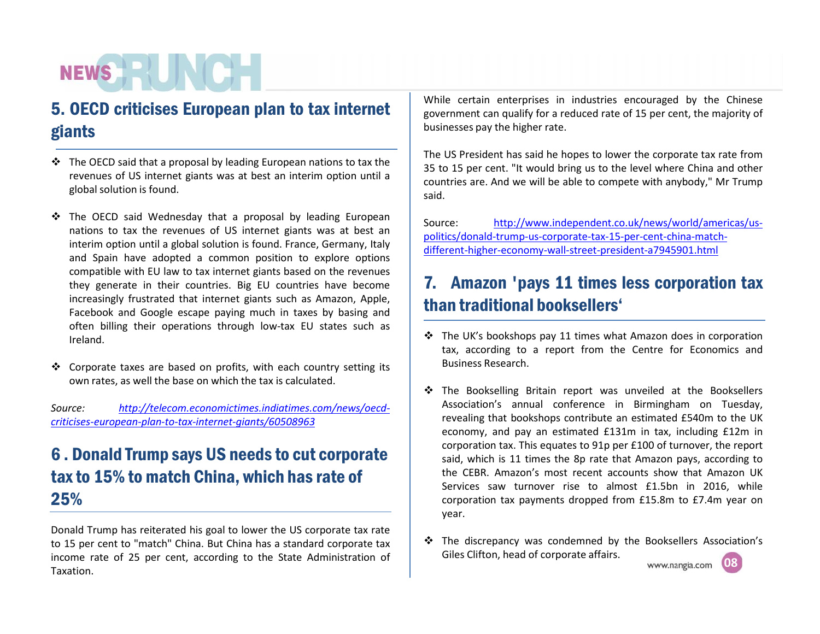## 5. OECD criticises European plan to tax internet giants

- $\triangle$  The OECD said that a proposal by leading European nations to tax the revenues of US internet giants was at best an interim option until a global solution is found.
- $\div$  The OECD said Wednesday that a proposal by leading European  $\parallel$  Source: nations to tax the revenues of US internet giants was at best an interim option until a global solution is found. France, Germany, Italy and Spain have adopted a common position to explore options compatible with EU law to tax internet giants based on the revenues they generate in their countries. Big EU countries have become increasingly frustrated that internet giants such as Amazon, Apple, Facebook and Google escape paying much in taxes by basing and often billing their operations through low-tax EU states such as Ireland.
- $\cdot$  Corporate taxes are based on profits, with each country setting its own rates, as well the base on which the tax is calculated.

*Source: http://telecom.economictimes.indiatimes.com/news/oecd criticises-european-plan-to-tax-internet-giants/60508963*

## 6 . Donald Trump says US needs to cut corporate tax to 15% to match China, which has rate of 25%

Donald Trump has reiterated his goal to lower the US corporate tax rate to 15 per cent to "match" China. But China has a standard corporate tax income rate of 25 per cent, according to the State Administration of Taxation.

While certain enterprises in industries encouraged by the Chinese government can qualify for a reduced rate of 15 per cent, the majority of businesses pay the higher rate.

The US President has said he hopes to lower the corporate tax rate from 35 to 15 per cent. "It would bring us to the level where China and other countries are. And we will be able to compete with anybody," Mr Trump said.

http://www.independent.co.uk/news/world/americas/uspolitics/donald-trump-us-corporate-tax-15-per-cent-china-match different-higher-economy-wall-street-president-a7945901.html

## 7. Amazon 'pays 11 times less corporation tax than traditional booksellers'

- $\cdot \cdot$  The UK's bookshops pay 11 times what Amazon does in corporation tax, according to a report from the Centre for Economics and Business Research.
- \* The Bookselling Britain report was unveiled at the Booksellers Association's annual conference in Birmingham on Tuesday, revealing that bookshops contribute an estimated £540m to the UK economy, and pay an estimated £131m in tax, including £12m in corporation tax. This equates to 91p per £100 of turnover, the report said, which is 11 times the 8p rate that Amazon pays, according to the CEBR. Amazon's most recent accounts show that Amazon UK Services saw turnover rise to almost £1.5bn in 2016, while corporation tax payments dropped from £15.8m to £7.4m year on year.
- The discrepancy was condemned by the Booksellers Association's Giles Clifton, head of corporate affairs.<br>www.nangia.com

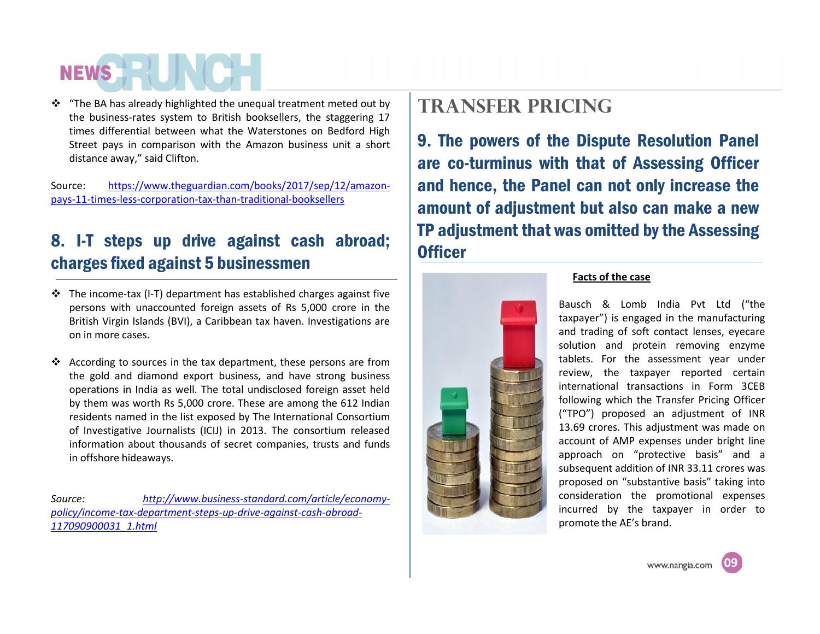$\cdot$  "The BA has already highlighted the unequal treatment meted out by the business-rates system to British booksellers, the staggering 17 times differential between what the Waterstones on Bedford High Street pays in comparison with the Amazon business unit a short distance away," said Clifton.

Source: https://www.theguardian.com/books/2017/sep/12/amazon pays-11-times-less-corporation-tax-than-traditional-booksellers

## 8. I-T steps up drive against cash abroad; charges fixed against 5 businessmen

- $\triangle$  The income-tax (I-T) department has established charges against five persons with unaccounted foreign assets of Rs 5,000 crore in the British Virgin Islands (BVI), a Caribbean tax haven. Investigations are on in more cases.
- $\cdot \cdot$  According to sources in the tax department, these persons are from the gold and diamond export business, and have strong business operations in India as well. The total undisclosed foreign asset held by them was worth Rs 5,000 crore. These are among the 612 Indian residents named in the list exposed by The International Consortium of Investigative Journalists (ICIJ) in 2013. The consortium released information about thousands of secret companies, trusts and funds in offshore hideaways.

*Source: http://www.business-standard.com/article/economy policy/income-tax-department-steps-up-drive-against-cash-abroad- 117090900031\_1.html*

## **TRANSFER PRICING**

9. The powers of the Dispute Resolution Panel are co-turminus with that of Assessing Officer and hence, the Panel can not only increase the amount of adjustment but also can make a new TP adjustment that was omitted by the Assessing **Officer** 



### **Facts of the case**

Bausch & Lomb India Pvt Ltd ("the taxpayer") is engaged in the manufacturing and trading of soft contact lenses, eyecare solution and protein removing enzyme tablets. For the assessment year under review, the taxpayer reported certain international transactions in Form 3CEB following which the Transfer Pricing Officer ("TPO") proposed an adjustment of INR 13.69 crores. This adjustment was made on account of AMP expenses under bright line approach on "protective basis" and a subsequent addition of INR 33.11 crores was proposed on "substantive basis" taking into consideration the promotional expenses incurred by the taxpayer in order to promote the AE's brand.

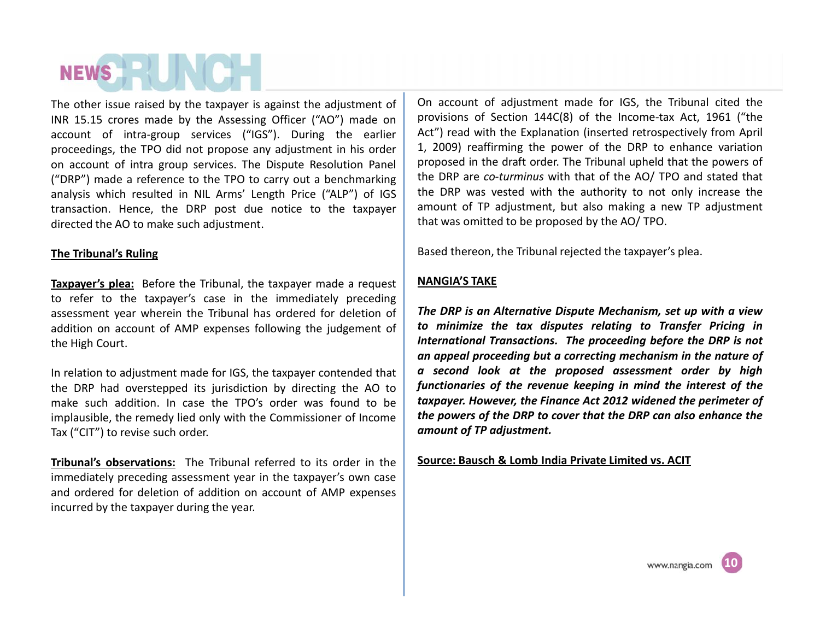The other issue raised by the taxpayer is against the adjustment of INR 15.15 crores made by the Assessing Officer ("AO") made on account of intra-group services ("IGS"). During the earlier proceedings, the TPO did not propose any adjustment in his order on account of intra group services. The Dispute Resolution Panel ("DRP") made a reference to the TPO to carry out a benchmarking analysis which resulted in NIL Arms' Length Price ("ALP") of IGS transaction. Hence, the DRP post due notice to the taxpayer directed the AO to make such adjustment.

### **The Tribunal's Ruling**

**Taxpayer's plea:** Before the Tribunal, the taxpayer made a request to refer to the taxpayer's case in the immediately preceding assessment year wherein the Tribunal has ordered for deletion of addition on account of AMP expenses following the judgement of the High Court.

In relation to adjustment made for IGS, the taxpayer contended that the DRP had overstepped its jurisdiction by directing the AO to make such addition. In case the TPO's order was found to be implausible, the remedy lied only with the Commissioner of Income Tax ("CIT") to revise such order.

**Tribunal's observations:** The Tribunal referred to its order in the immediately preceding assessment year in the taxpayer's own case and ordered for deletion of addition on account of AMP expenses incurred by the taxpayer during the year.

On account of adjustment made for IGS, the Tribunal cited the provisions of Section 144C(8) of the Income-tax Act, 1961 ("the Act") read with the Explanation (inserted retrospectively from April 1, 2009) reaffirming the power of the DRP to enhance variation proposed in the draft order. The Tribunal upheld that the powers of the DRP are *co-turminus* with that of the AO/ TPO and stated that the DRP was vested with the authority to not only increase the amount of TP adjustment, but also making a new TP adjustment that was omitted to be proposed by the AO/ TPO.

Based thereon, the Tribunal rejected the taxpayer's plea.

## **NANGIA'S TAKE**

*The DRP is an Alternative Dispute Mechanism, set up with a view to minimize the tax disputes relating to Transfer Pricing in International Transactions. The proceeding before the DRP is not an appeal proceeding but a correcting mechanism in the nature of a second look at the proposed assessment order by high functionaries of the revenue keeping in mind the interest of the taxpayer. However, the Finance Act 2012 widened the perimeter of the powers of the DRP to cover that the DRP can also enhance the amount of TP adjustment.*

**Source: Bausch & Lomb India Private Limited vs. ACIT**

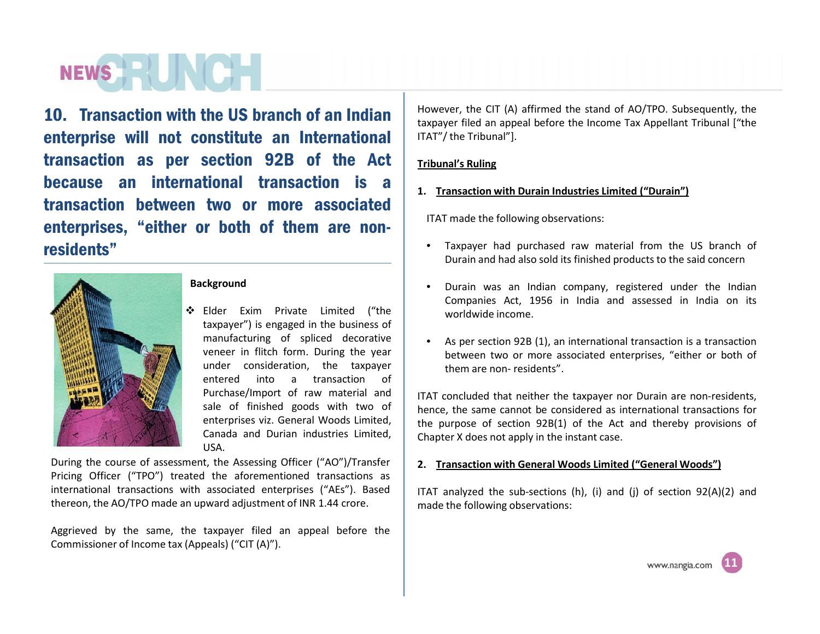## NEWS HELLING

10. Transaction with the US branch of an Indian enterprise will not constitute an International transaction as per section 92B of the Act because an international transaction is a transaction between two or more associated enterprises, "either or both of them are non residents"



#### **Background**

 Elder Exim Private Limited ("the taxpayer") is engaged in the business of manufacturing of spliced decorative veneer in flitch form. During the year under consideration, the taxpayer entered into a transaction of Purchase/Import of raw material and sale of finished goods with two of enterprises viz. General Woods Limited, Canada and Durian industries Limited, USA.

During the course of assessment, the Assessing Officer ("AO")/Transfer Pricing Officer ("TPO") treated the aforementioned transactions as international transactions with associated enterprises ("AEs"). Based thereon, the AO/TPO made an upward adjustment of INR 1.44 crore.

Aggrieved by the same, the taxpayer filed an appeal before the Commissioner of Income tax (Appeals) ("CIT (A)").

However, the CIT (A) affirmed the stand of AO/TPO. Subsequently, the taxpayer filed an appeal before the Income Tax Appellant Tribunal ["the ITAT"/ the Tribunal"].

### **Tribunal's Ruling**

**1. Transaction with Durain Industries Limited ("Durain")**

ITAT made the following observations:

- Taxpayer had purchased raw material from the US branch of Durain and had also sold its finished products to the said concern
- Durain was an Indian company, registered under the Indian Companies Act, 1956 in India and assessed in India on its worldwide income.
- As per section 92B (1), an international transaction is a transaction between two or more associated enterprises, "either or both of them are non-residents".

ITAT concluded that neither the taxpayer nor Durain are non-residents, hence, the same cannot be considered as international transactions for the purpose of section 92B(1) of the Act and thereby provisions of Chapter X does not apply in the instant case.

### **2. Transaction with General Woods Limited ("General Woods")**

ITAT analyzed the sub-sections (h), (i) and (j) of section 92(A)(2) and made the following observations: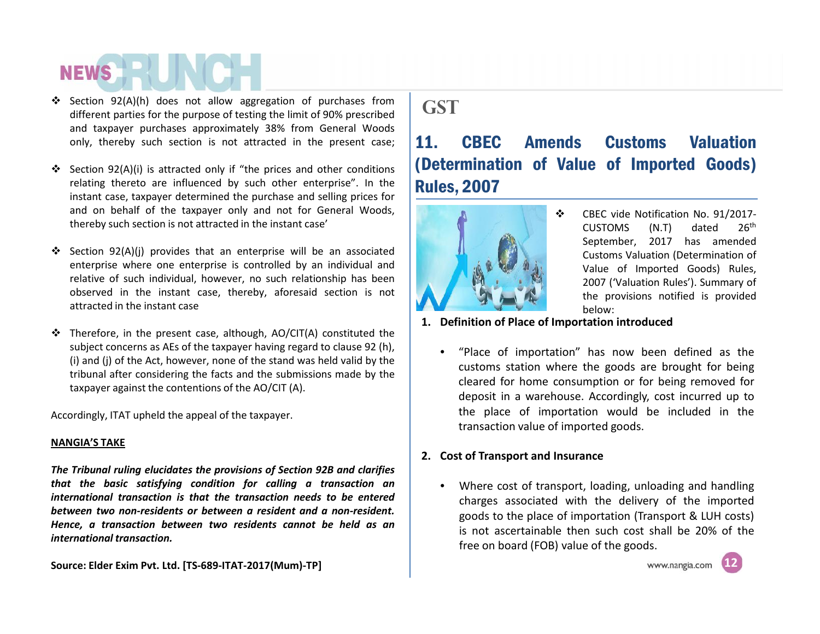- Section 92(A)(h) does not allow aggregation of purchases from different parties for the purpose of testing the limit of 90% prescribed and taxpayer purchases approximately 38% from General Woods only, thereby such section is not attracted in the present case;  $\vert$  11.
- $\div$  Section 92(A)(i) is attracted only if "the prices and other conditions relating thereto are influenced by such other enterprise". In the instant case, taxpayer determined the purchase and selling prices for and on behalf of the taxpayer only and not for General Woods, thereby such section is not attracted in the instant case'
- Section 92(A)(j) provides that an enterprise will be an associated enterprise where one enterprise is controlled by an individual and relative of such individual, however, no such relationship has been observed in the instant case, thereby, aforesaid section is not attracted in the instant case
- $\cdot \cdot$  Therefore, in the present case, although, AO/CIT(A) constituted the subject concerns as AEs of the taxpayer having regard to clause 92 (h), (i) and (j) of the Act, however, none of the stand was held valid by the tribunal after considering the facts and the submissions made by the taxpayer against the contentions of the AO/CIT (A).

Accordingly, ITAT upheld the appeal of the taxpayer.

#### **NANGIA'S TAKE**

*The Tribunal ruling elucidates the provisions of Section 92B and clarifies that the basic satisfying condition for calling a transaction an international transaction is that the transaction needs to be entered between two non-residents or between a resident and a non-resident. Hence, a transaction between two residents cannot be held as an international transaction.*

**Source: Elder Exim Pvt. Ltd. [TS-689-ITAT-2017(Mum)-TP]**

## **GST**

## 11. CBEC Amends Customs Valuation (Determination of Value of Imported Goods) Rules, 2007



- CBEC vide Notification No. 91/2017- CUSTOMS (N.T) dated 26th September, 2017 has amended Customs Valuation (Determination of Value of Imported Goods) Rules, 2007 ('Valuation Rules'). Summary of the provisions notified is provided below:
- **1. Definition of Place of Importation introduced**
	- "Place of importation" has now been defined as the customs station where the goods are brought for being cleared for home consumption or for being removed for deposit in a warehouse. Accordingly, cost incurred up to the place of importation would be included in the transaction value of imported goods.

## **2. Cost of Transport and Insurance**

• Where cost of transport, loading, unloading and handling charges associated with the delivery of the imported goods to the place of importation (Transport & LUH costs) is not ascertainable then such cost shall be 20% of the free on board (FOB) value of the goods.



**18**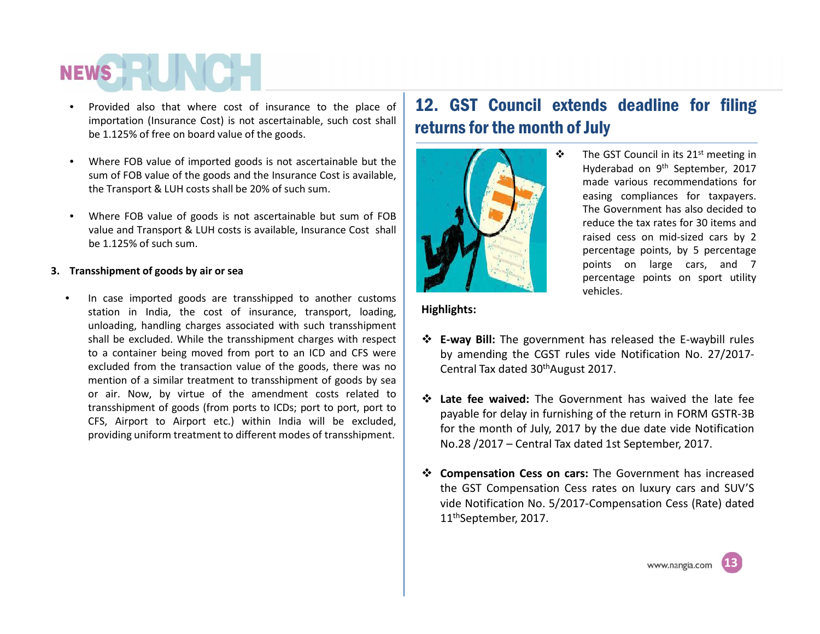- Provided also that where cost of insurance to the place of importation (Insurance Cost) is not ascertainable, such cost shall be 1.125% of free on board value of the goods.
- Where FOB value of imported goods is not ascertainable but the sum of FOB value of the goods and the Insurance Cost is available, the Transport & LUH costs shall be 20% of such sum.
- Where FOB value of goods is not ascertainable but sum of FOB value and Transport & LUH costs is available, Insurance Cost shall be 1.125% of such sum.

### **3. Transshipment of goods by air or sea**

In case imported goods are transshipped to another customs station in India, the cost of insurance, transport, loading, unloading, handling charges associated with such transshipment shall be excluded. While the transshipment charges with respect to a container being moved from port to an ICD and CFS were excluded from the transaction value of the goods, there was no mention of a similar treatment to transshipment of goods by sea or air. Now, by virtue of the amendment costs related to transshipment of goods (from ports to ICDs; port to port, port to CFS, Airport to Airport etc.) within India will be excluded, providing uniform treatment to different modes of transshipment.

## 12. GST Council extends deadline for filing returns for the month of July



 $\div$  The GST Council in its 21<sup>st</sup> meeting in Hyderabad on 9<sup>th</sup> September, 2017 made various recommendations for easing compliances for taxpayers. The Government has also decided to reduce the tax rates for 30 items and raised cess on mid-sized cars by 2 percentage points, by 5 percentage points on large cars, and 7 percentage points on sport utility vehicles.

### **Highlights:**

- **E-way Bill:** The government has released the E-waybill rules by amending the CGST rules vide Notification No. 27/2017- Central Tax dated 30thAugust 2017.
- **Late fee waived:** The Government has waived the late fee payable for delay in furnishing of the return in FORM GSTR-3B for the month of July, 2017 by the due date vide Notification No.28 / 2017 – Central Tax dated 1st September, 2017.
- **Compensation Cess on cars:** The Government has increased the GST Compensation Cess rates on luxury cars and SUV'S vide Notification No. 5/2017-Compensation Cess (Rate) dated 11thSeptember, 2017.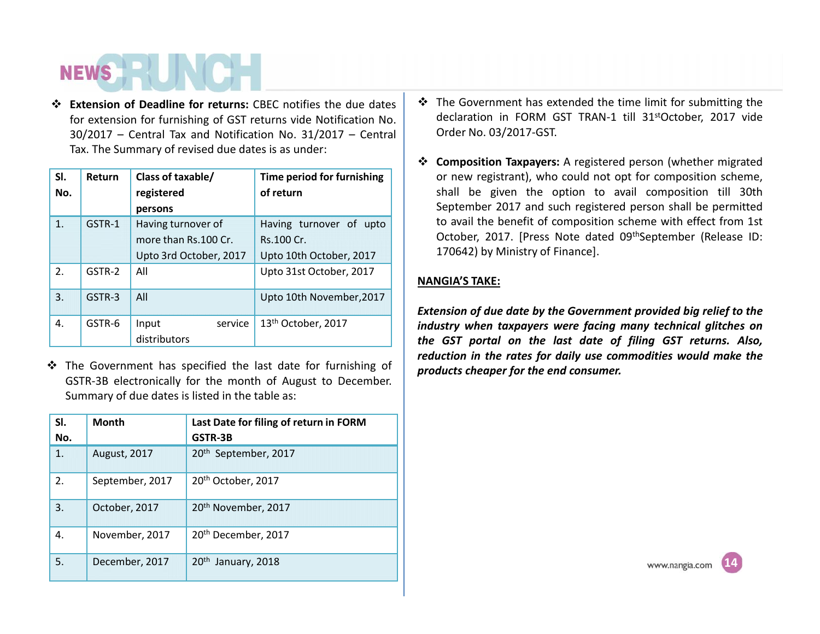**Extension of Deadline for returns:** CBEC notifies the due dates for extension for furnishing of GST returns vide Notification No. 30/2017 – Central Tax and Notification No. 31/2017 – Central Tax. The Summary of revised due dates is as under:

| SI. | Return | Class of taxable/      | Time period for furnishing |
|-----|--------|------------------------|----------------------------|
| No. |        | registered             | of return                  |
|     |        | persons                |                            |
| 1.  | GSTR-1 | Having turnover of     | Having turnover of upto    |
|     |        | more than Rs.100 Cr.   | Rs.100 Cr.                 |
|     |        | Upto 3rd October, 2017 | Upto 10th October, 2017    |
| 2.  | GSTR-2 | All                    | Upto 31st October, 2017    |
| 3.  | GSTR-3 | All                    | Upto 10th November, 2017   |
| 4.  | GSTR-6 | service<br>Input       | 13th October, 2017         |
|     |        | distributors           |                            |

\* The Government has specified the last date for furnishing of GSTR-3B electronically for the month of August to December. Summary of due dates is listed in the table as:

| SI.<br>No. | <b>Month</b>    | Last Date for filing of return in FORM<br>GSTR-3B |
|------------|-----------------|---------------------------------------------------|
| 1.         | August, 2017    | 20 <sup>th</sup> September, 2017                  |
| 2.         | September, 2017 | 20 <sup>th</sup> October, 2017                    |
| 3.         | October, 2017   | 20 <sup>th</sup> November, 2017                   |
| 4.         | November, 2017  | 20 <sup>th</sup> December, 2017                   |
| 5.         | December, 2017  | 20 <sup>th</sup><br>January, 2018                 |

- $\cdot$  The Government has extended the time limit for submitting the declaration in FORM GST TRAN-1 till 31stOctober, 2017 vide Order No. 03/2017-GST.
- **Composition Taxpayers:** A registered person (whether migrated or new registrant), who could not opt for composition scheme, shall be given the option to avail composition till 30th September 2017 and such registered person shall be permitted to avail the benefit of composition scheme with effect from 1st October, 2017. [Press Note dated 09th September (Release ID: 170642) by Ministry of Finance].

## **NANGIA'S TAKE:**

*Extension of due date by the Government provided big relief to the industry when taxpayers were facing many technical glitches on the GST portal on the last date of filing GST returns. Also, reduction in the rates for daily use commodities would make the products cheaper for the end consumer.*